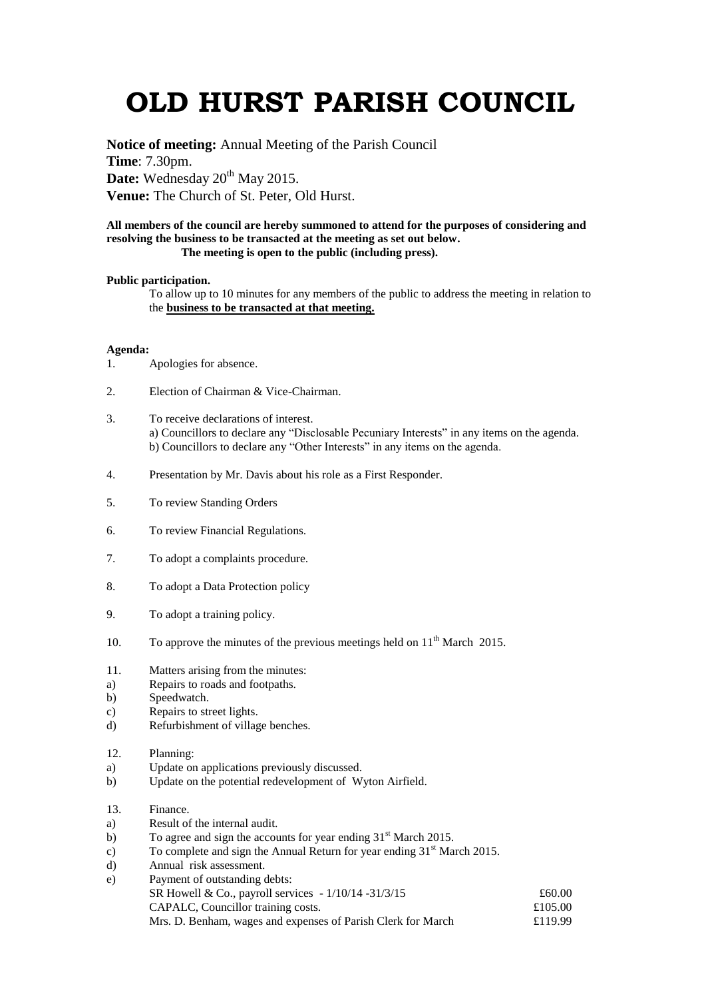## **OLD HURST PARISH COUNCIL**

**Notice of meeting:** Annual Meeting of the Parish Council **Time**: 7.30pm. Date: Wednesday 20<sup>th</sup> May 2015. **Venue:** The Church of St. Peter, Old Hurst.

## **All members of the council are hereby summoned to attend for the purposes of considering and resolving the business to be transacted at the meeting as set out below. The meeting is open to the public (including press).**

## **Public participation.**

To allow up to 10 minutes for any members of the public to address the meeting in relation to the **business to be transacted at that meeting.** 

## **Agenda:**

- 1. Apologies for absence.
- 2. Election of Chairman & Vice-Chairman.
- 3. To receive declarations of interest. a) Councillors to declare any "Disclosable Pecuniary Interests" in any items on the agenda. b) Councillors to declare any "Other Interests" in any items on the agenda.
- 4. Presentation by Mr. Davis about his role as a First Responder.
- 5. To review Standing Orders
- 6. To review Financial Regulations.
- 7. To adopt a complaints procedure.
- 8. To adopt a Data Protection policy
- 9. To adopt a training policy.
- 10. To approve the minutes of the previous meetings held on  $11<sup>th</sup>$  March 2015.
- 11. Matters arising from the minutes:
- a) Repairs to roads and footpaths.
- b) Speedwatch.
- c) Repairs to street lights.
- d) Refurbishment of village benches.
- 12. Planning:
- a) Update on applications previously discussed.
- b) Update on the potential redevelopment of Wyton Airfield.
- 13. Finance.
- a) Result of the internal audit.
- b) To agree and sign the accounts for year ending  $31<sup>st</sup>$  March 2015.
- c) To complete and sign the Annual Return for year ending  $31<sup>st</sup>$  March 2015.
- d) Annual risk assessment.
- e) Payment of outstanding debts: SR Howell & Co., payroll services  $-1/10/14 - 31/3/15$   $\qquad 60.00$ CAPALC, Councillor training costs.  $£105.00$ Mrs. D. Benham, wages and expenses of Parish Clerk for March £119.99